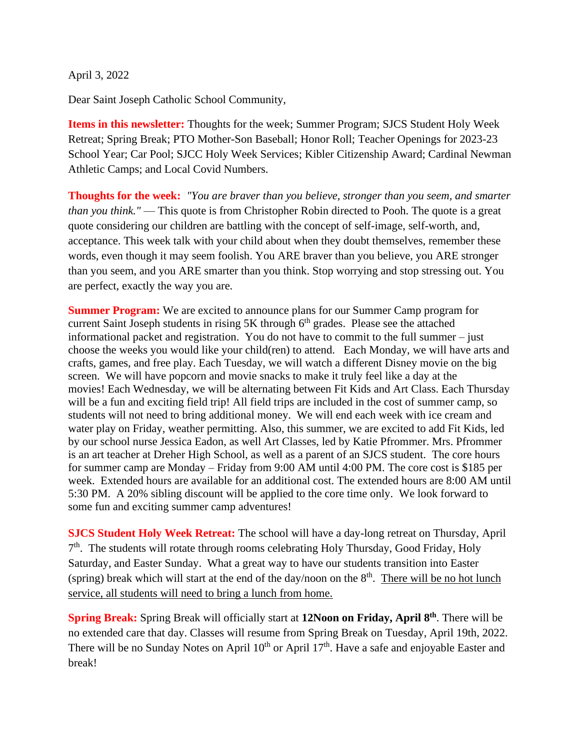April 3, 2022

Dear Saint Joseph Catholic School Community,

**Items in this newsletter:** Thoughts for the week; Summer Program; SJCS Student Holy Week Retreat; Spring Break; PTO Mother-Son Baseball; Honor Roll; Teacher Openings for 2023-23 School Year; Car Pool; SJCC Holy Week Services; Kibler Citizenship Award; Cardinal Newman Athletic Camps; and Local Covid Numbers.

**Thoughts for the week:** *"You are braver than you believe, stronger than you seem, and smarter than you think."* — This quote is from Christopher Robin directed to Pooh. The quote is a great quote considering our children are battling with the concept of self-image, self-worth, and, acceptance. This week talk with your child about when they doubt themselves, remember these words, even though it may seem foolish. You ARE braver than you believe, you ARE stronger than you seem, and you ARE smarter than you think. Stop worrying and stop stressing out. You are perfect, exactly the way you are.

**Summer Program:** We are excited to announce plans for our Summer Camp program for current Saint Joseph students in rising 5K through  $6<sup>th</sup>$  grades. Please see the attached informational packet and registration. You do not have to commit to the full summer – just choose the weeks you would like your child(ren) to attend. Each Monday, we will have arts and crafts, games, and free play. Each Tuesday, we will watch a different Disney movie on the big screen. We will have popcorn and movie snacks to make it truly feel like a day at the movies! Each Wednesday, we will be alternating between Fit Kids and Art Class. Each Thursday will be a fun and exciting field trip! All field trips are included in the cost of summer camp, so students will not need to bring additional money. We will end each week with ice cream and water play on Friday, weather permitting. Also, this summer, we are excited to add Fit Kids, led by our school nurse Jessica Eadon, as well Art Classes, led by Katie Pfrommer. Mrs. Pfrommer is an art teacher at Dreher High School, as well as a parent of an SJCS student. The core hours for summer camp are Monday – Friday from 9:00 AM until 4:00 PM. The core cost is \$185 per week. Extended hours are available for an additional cost. The extended hours are 8:00 AM until 5:30 PM. A 20% sibling discount will be applied to the core time only. We look forward to some fun and exciting summer camp adventures!

**SJCS Student Holy Week Retreat:** The school will have a day-long retreat on Thursday, April 7<sup>th</sup>. The students will rotate through rooms celebrating Holy Thursday, Good Friday, Holy Saturday, and Easter Sunday. What a great way to have our students transition into Easter (spring) break which will start at the end of the day/noon on the  $8<sup>th</sup>$ . There will be no hot lunch service, all students will need to bring a lunch from home.

**Spring Break:** Spring Break will officially start at **12Noon on Friday, April 8 th**. There will be no extended care that day. Classes will resume from Spring Break on Tuesday, April 19th, 2022. There will be no Sunday Notes on April  $10^{th}$  or April  $17^{th}$ . Have a safe and enjoyable Easter and break!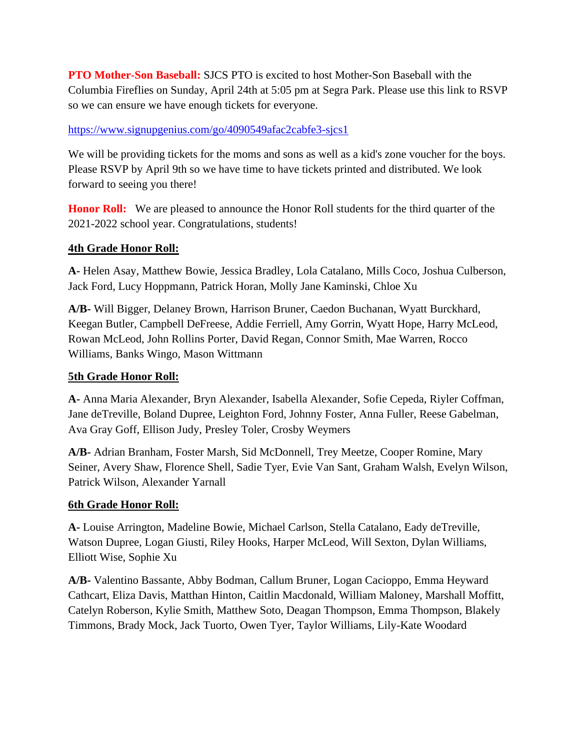**PTO Mother-Son Baseball:** SJCS PTO is excited to host Mother-Son Baseball with the Columbia Fireflies on Sunday, April 24th at 5:05 pm at Segra Park. Please use this link to RSVP so we can ensure we have enough tickets for everyone.

### <https://www.signupgenius.com/go/4090549afac2cabfe3-sjcs1>

We will be providing tickets for the moms and sons as well as a kid's zone voucher for the boys. Please RSVP by April 9th so we have time to have tickets printed and distributed. We look forward to seeing you there!

**Honor Roll:** We are pleased to announce the Honor Roll students for the third quarter of the 2021-2022 school year. Congratulations, students!

### **4th Grade Honor Roll:**

**A-** Helen Asay, Matthew Bowie, Jessica Bradley, Lola Catalano, Mills Coco, Joshua Culberson, Jack Ford, Lucy Hoppmann, Patrick Horan, Molly Jane Kaminski, Chloe Xu

**A/B-** Will Bigger, Delaney Brown, Harrison Bruner, Caedon Buchanan, Wyatt Burckhard, Keegan Butler, Campbell DeFreese, Addie Ferriell, Amy Gorrin, Wyatt Hope, Harry McLeod, Rowan McLeod, John Rollins Porter, David Regan, Connor Smith, Mae Warren, Rocco Williams, Banks Wingo, Mason Wittmann

### **5th Grade Honor Roll:**

**A-** Anna Maria Alexander, Bryn Alexander, Isabella Alexander, Sofie Cepeda, Riyler Coffman, Jane deTreville, Boland Dupree, Leighton Ford, Johnny Foster, Anna Fuller, Reese Gabelman, Ava Gray Goff, Ellison Judy, Presley Toler, Crosby Weymers

**A/B-** Adrian Branham, Foster Marsh, Sid McDonnell, Trey Meetze, Cooper Romine, Mary Seiner, Avery Shaw, Florence Shell, Sadie Tyer, Evie Van Sant, Graham Walsh, Evelyn Wilson, Patrick Wilson, Alexander Yarnall

### **6th Grade Honor Roll:**

**A-** Louise Arrington, Madeline Bowie, Michael Carlson, Stella Catalano, Eady deTreville, Watson Dupree, Logan Giusti, Riley Hooks, Harper McLeod, Will Sexton, Dylan Williams, Elliott Wise, Sophie Xu

**A/B-** Valentino Bassante, Abby Bodman, Callum Bruner, Logan Cacioppo, Emma Heyward Cathcart, Eliza Davis, Matthan Hinton, Caitlin Macdonald, William Maloney, Marshall Moffitt, Catelyn Roberson, Kylie Smith, Matthew Soto, Deagan Thompson, Emma Thompson, Blakely Timmons, Brady Mock, Jack Tuorto, Owen Tyer, Taylor Williams, Lily-Kate Woodard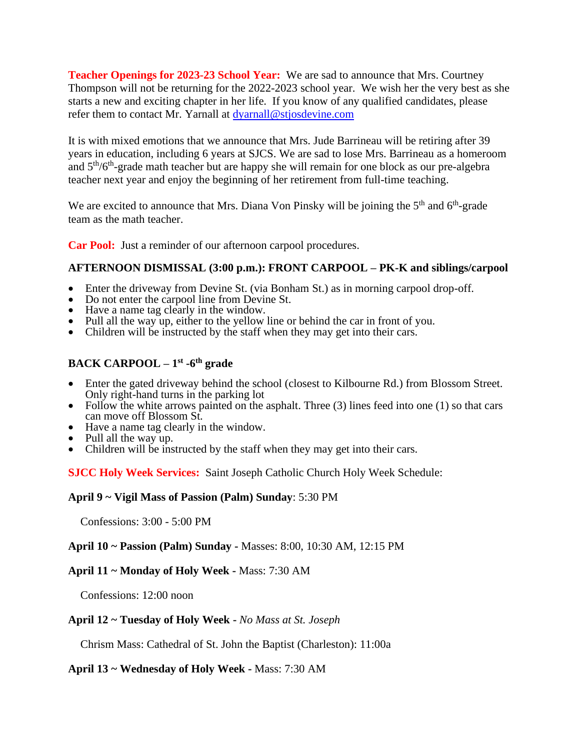**Teacher Openings for 2023-23 School Year:** We are sad to announce that Mrs. Courtney Thompson will not be returning for the 2022-2023 school year. We wish her the very best as she starts a new and exciting chapter in her life. If you know of any qualified candidates, please refer them to contact Mr. Yarnall at [dyarnall@stjosdevine.com](mailto:dyarnall@stjosdevine.com)

It is with mixed emotions that we announce that Mrs. Jude Barrineau will be retiring after 39 years in education, including 6 years at SJCS. We are sad to lose Mrs. Barrineau as a homeroom and 5<sup>th</sup>/6<sup>th</sup>-grade math teacher but are happy she will remain for one block as our pre-algebra teacher next year and enjoy the beginning of her retirement from full-time teaching.

We are excited to announce that Mrs. Diana Von Pinsky will be joining the  $5<sup>th</sup>$  and  $6<sup>th</sup>$ -grade team as the math teacher.

**Car Pool:** Just a reminder of our afternoon carpool procedures.

### **AFTERNOON DISMISSAL (3:00 p.m.): FRONT CARPOOL – PK-K and siblings/carpool**

- Enter the driveway from Devine St. (via Bonham St.) as in morning carpool drop-off.
- Do not enter the carpool line from Devine St.
- Have a name tag clearly in the window.
- Pull all the way up, either to the yellow line or behind the car in front of you.
- Children will be instructed by the staff when they may get into their cars.

### **BACK CARPOOL – 1 st -6 th grade**

- Enter the gated driveway behind the school (closest to Kilbourne Rd.) from Blossom Street. Only right-hand turns in the parking lot
- Follow the white arrows painted on the asphalt. Three  $(3)$  lines feed into one  $(1)$  so that cars can move off Blossom St.
- Have a name tag clearly in the window.
- Pull all the way up.
- Children will be instructed by the staff when they may get into their cars.

**SJCC Holy Week Services:** Saint Joseph Catholic Church Holy Week Schedule:

#### **April 9 ~ Vigil Mass of Passion (Palm) Sunday**: 5:30 PM

Confessions: 3:00 - 5:00 PM

#### **April 10 ~ Passion (Palm) Sunday -** Masses: 8:00, 10:30 AM, 12:15 PM

#### **April 11 ~ Monday of Holy Week -** Mass: 7:30 AM

Confessions: 12:00 noon

#### **April 12 ~ Tuesday of Holy Week -** *No Mass at St. Joseph*

Chrism Mass: Cathedral of St. John the Baptist (Charleston): 11:00a

#### **April 13 ~ Wednesday of Holy Week -** Mass: 7:30 AM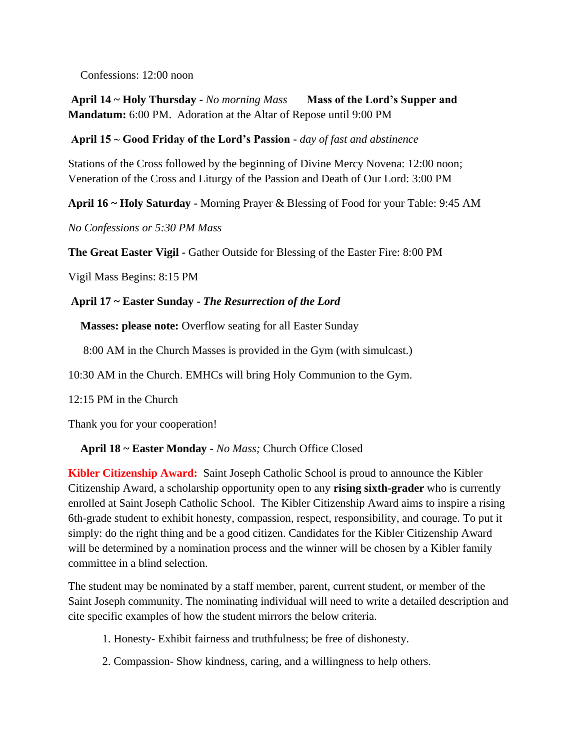Confessions: 12:00 noon

**April 14 ~ Holy Thursday** - *No morning Mass* **Mass of the Lord's Supper and Mandatum:** 6:00 PM. Adoration at the Altar of Repose until 9:00 PM

### **April 15 ~ Good Friday of the Lord's Passion -** *day of fast and abstinence*

Stations of the Cross followed by the beginning of Divine Mercy Novena: 12:00 noon; Veneration of the Cross and Liturgy of the Passion and Death of Our Lord: 3:00 PM

**April 16 ~ Holy Saturday -** Morning Prayer & Blessing of Food for your Table: 9:45 AM

*No Confessions or 5:30 PM Mass*

**The Great Easter Vigil -** Gather Outside for Blessing of the Easter Fire: 8:00 PM

Vigil Mass Begins: 8:15 PM

## **April 17 ~ Easter Sunday -** *The Resurrection of the Lord*

**Masses: please note:** Overflow seating for all Easter Sunday

8:00 AM in the Church Masses is provided in the Gym (with simulcast.)

10:30 AM in the Church. EMHCs will bring Holy Communion to the Gym.

12:15 PM in the Church

Thank you for your cooperation!

# **April 18 ~ Easter Monday -** *No Mass;* Church Office Closed

**Kibler Citizenship Award:** Saint Joseph Catholic School is proud to announce the Kibler Citizenship Award, a scholarship opportunity open to any **rising sixth-grader** who is currently enrolled at Saint Joseph Catholic School. The Kibler Citizenship Award aims to inspire a rising 6th-grade student to exhibit honesty, compassion, respect, responsibility, and courage. To put it simply: do the right thing and be a good citizen. Candidates for the Kibler Citizenship Award will be determined by a nomination process and the winner will be chosen by a Kibler family committee in a blind selection.

The student may be nominated by a staff member, parent, current student, or member of the Saint Joseph community. The nominating individual will need to write a detailed description and cite specific examples of how the student mirrors the below criteria.

- 1. Honesty- Exhibit fairness and truthfulness; be free of dishonesty.
- 2. Compassion- Show kindness, caring, and a willingness to help others.